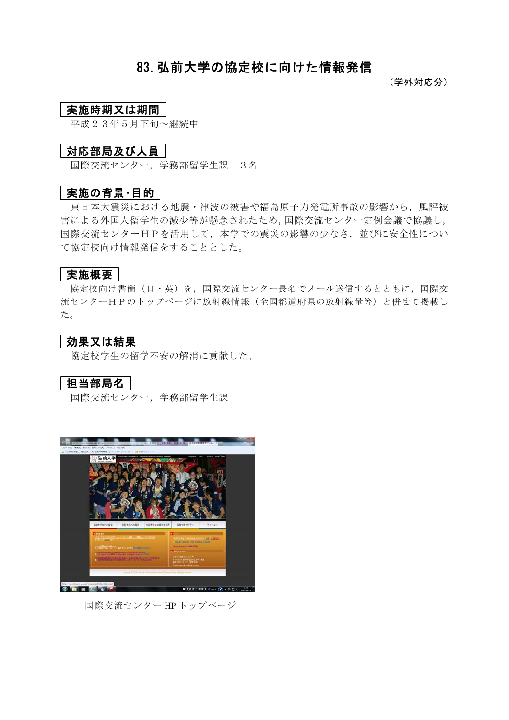## 83.弘前大学の協定校に向けた情報発信

(学外対応分)

## 実施時期又は期間

平成23年5月下旬~継続中

## 対応部局及び人員

国際交流センター,学務部留学生課 3名

### |実施の背景・目的 |

東日本大震災における地震・津波の被害や福島原子力発電所事故の影響から,風評被 害による外国人留学生の減少等が懸念されたため,国際交流センター定例会議で協議し, 国際交流センターHPを活用して,本学での震災の影響の少なさ,並びに安全性につい て協定校向け情報発信をすることとした。

#### 実施概要

協定校向け書簡(日・英)を,国際交流センター長名でメール送信するとともに,国際交 流センターHPのトップページに放射線情報(全国都道府県の放射線量等)と併せて掲載し た。

#### 効果又は結果

協定校学生の留学不安の解消に貢献した。

## 担当部局名

国際交流センター,学務部留学生課



国際交流センター HP トップページ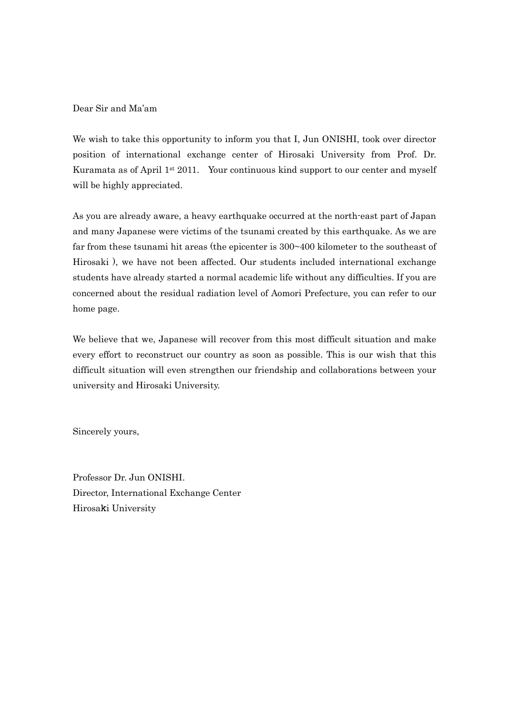Dear Sir and Ma'am

We wish to take this opportunity to inform you that I, Jun ONISHI, took over director position of international exchange center of Hirosaki University from Prof. Dr. Kuramata as of April 1st 2011. Your continuous kind support to our center and myself will be highly appreciated.

As you are already aware, a heavy earthquake occurred at the north-east part of Japan and many Japanese were victims of the tsunami created by this earthquake. As we are far from these tsunami hit areas (the epicenter is 300~400 kilometer to the southeast of Hirosaki ), we have not been affected. Our students included international exchange students have already started a normal academic life without any difficulties. If you are concerned about the residual radiation level of Aomori Prefecture, you can refer to our home page.

We believe that we, Japanese will recover from this most difficult situation and make every effort to reconstruct our country as soon as possible. This is our wish that this difficult situation will even strengthen our friendship and collaborations between your university and Hirosaki University.

Sincerely yours,

Professor Dr. Jun ONISHI. Director, International Exchange Center Hirosaki University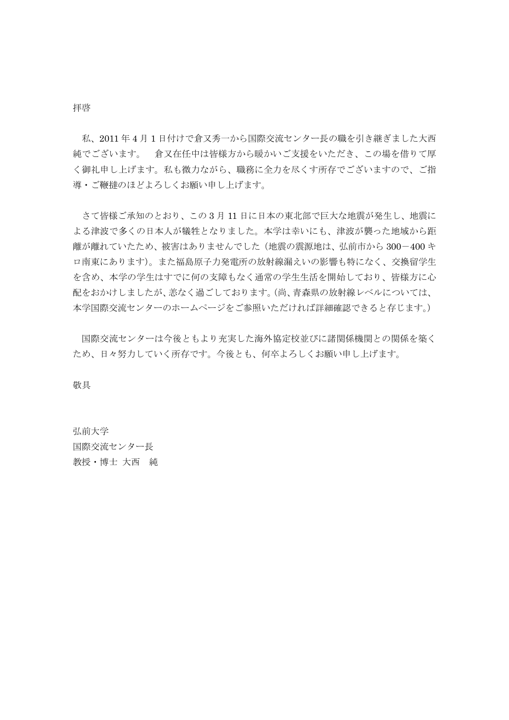#### 拝啓

 私、2011 年 4 月 1 日付けで倉又秀一から国際交流センター長の職を引き継ぎました大西 純でございます。 倉又在任中は皆様方から暖かいご支援をいただき、この場を借りて厚 く御礼申し上げます。私も微力ながら、職務に全力を尽くす所存でございますので、ご指 導・ご鞭撻のほどよろしくお願い申し上げます。

 さて皆様ご承知のとおり、この 3 月 11 日に日本の東北部で巨大な地震が発生し、地震に よる津波で多くの日本人が犠牲となりました。本学は幸いにも、津波が襲った地域から距 離が離れていたため、被害はありませんでした(地震の震源地は、弘前市から 300-400 キ ロ南東にあります)。また福島原子力発電所の放射線漏えいの影響も特になく、交換留学生 を含め、本学の学生はすでに何の支障もなく通常の学生生活を開始しており、皆様方に心 配をおかけしましたが、恙なく過ごしております。(尚、青森県の放射線レベルについては、 本学国際交流センターのホームページをご参照いただければ詳細確認できると存じます。)

 国際交流センターは今後ともより充実した海外協定校並びに諸関係機関との関係を築く ため、日々努力していく所存です。今後とも、何卒よろしくお願い申し上げます。

敬具

弘前大学 国際交流センター長 教授・博士 大西 純